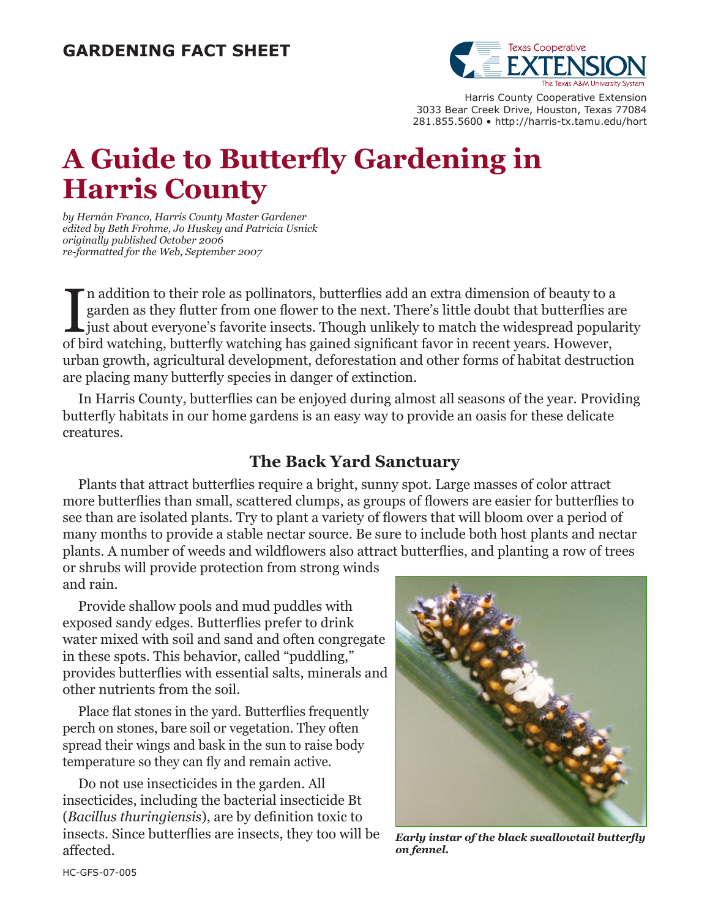

Harris County Cooperative Extension 3033 Bear Creek Drive, Houston, Texas 77084 281.855.5600 • http://harris-tx.tamu.edu/hort

# **A Guide to Butterfly Gardening in Harris County**

*by Hernán Franco, Harris County Master Gardener edited by Beth Frohme, Jo Huskey and Patricia Usnick originally published October 2006 re-formatted for the Web, September 2007*

In addition to their role as pollinators, butterflies add an extra dimension of beauty to a garden as they flutter from one flower to the next. There's little doubt that butterflies a just about everyone's favorite insects n addition to their role as pollinators, butterflies add an extra dimension of beauty to a garden as they flutter from one flower to the next. There's little doubt that butterflies are just about everyone's favorite insects. Though unlikely to match the widespread popularity urban growth, agricultural development, deforestation and other forms of habitat destruction are placing many butterfly species in danger of extinction.

In Harris County, butterflies can be enjoyed during almost all seasons of the year. Providing butterfly habitats in our home gardens is an easy way to provide an oasis for these delicate creatures.

### **The Back Yard Sanctuary**

Plants that attract butterflies require a bright, sunny spot. Large masses of color attract more butterflies than small, scattered clumps, as groups of flowers are easier for butterflies to see than are isolated plants. Try to plant a variety of flowers that will bloom over a period of many months to provide a stable nectar source. Be sure to include both host plants and nectar plants. A number of weeds and wildflowers also attract butterflies, and planting a row of trees or shrubs will provide protection from strong winds

and rain.

Provide shallow pools and mud puddles with exposed sandy edges. Butterflies prefer to drink water mixed with soil and sand and often congregate in these spots. This behavior, called "puddling," provides butterflies with essential salts, minerals and other nutrients from the soil.

Place flat stones in the yard. Butterflies frequently perch on stones, bare soil or vegetation. They often spread their wings and bask in the sun to raise body temperature so they can fly and remain active.

Do not use insecticides in the garden. All insecticides, including the bacterial insecticide Bt (*Bacillus thuringiensis*), are by definition toxic to insects. Since butterflies are insects, they too will be affected.



*Early instar of the black swallowtail butterfly on fennel.*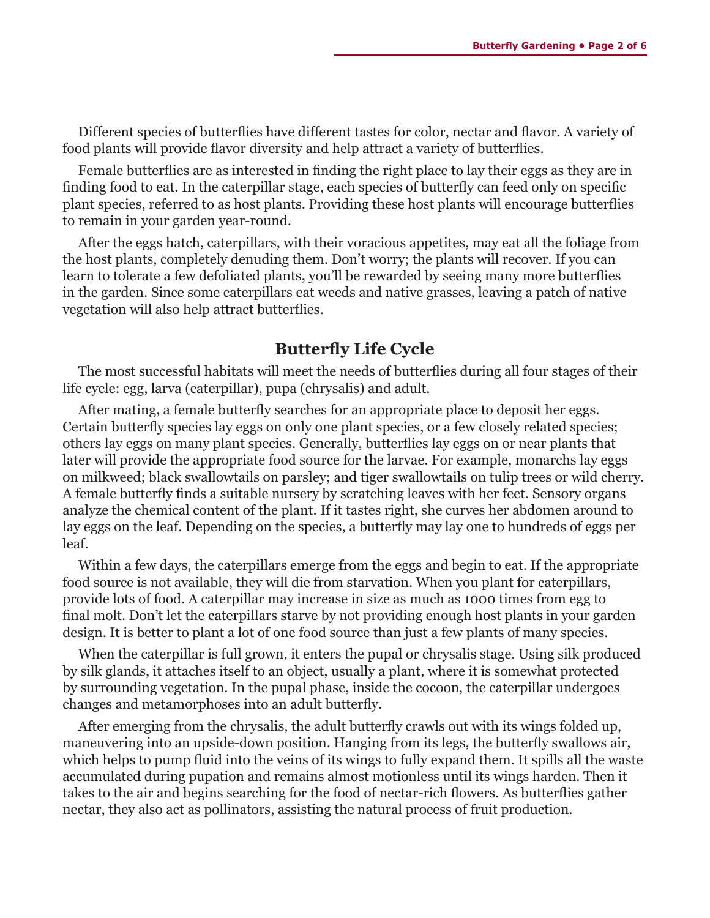Different species of butterflies have different tastes for color, nectar and flavor. A variety of food plants will provide flavor diversity and help attract a variety of butterflies.

Female butterflies are as interested in finding the right place to lay their eggs as they are in finding food to eat. In the caterpillar stage, each species of butterfly can feed only on specific plant species, referred to as host plants. Providing these host plants will encourage butterflies to remain in your garden year-round.

After the eggs hatch, caterpillars, with their voracious appetites, may eat all the foliage from the host plants, completely denuding them. Don't worry; the plants will recover. If you can learn to tolerate a few defoliated plants, you'll be rewarded by seeing many more butterflies in the garden. Since some caterpillars eat weeds and native grasses, leaving a patch of native vegetation will also help attract butterflies.

#### **Butterfly Life Cycle**

The most successful habitats will meet the needs of butterflies during all four stages of their life cycle: egg, larva (caterpillar), pupa (chrysalis) and adult.

After mating, a female butterfly searches for an appropriate place to deposit her eggs. Certain butterfly species lay eggs on only one plant species, or a few closely related species; others lay eggs on many plant species. Generally, butterflies lay eggs on or near plants that later will provide the appropriate food source for the larvae. For example, monarchs lay eggs on milkweed; black swallowtails on parsley; and tiger swallowtails on tulip trees or wild cherry. A female butterfly finds a suitable nursery by scratching leaves with her feet. Sensory organs analyze the chemical content of the plant. If it tastes right, she curves her abdomen around to lay eggs on the leaf. Depending on the species, a butterfly may lay one to hundreds of eggs per leaf.

Within a few days, the caterpillars emerge from the eggs and begin to eat. If the appropriate food source is not available, they will die from starvation. When you plant for caterpillars, provide lots of food. A caterpillar may increase in size as much as 1000 times from egg to final molt. Don't let the caterpillars starve by not providing enough host plants in your garden design. It is better to plant a lot of one food source than just a few plants of many species.

When the caterpillar is full grown, it enters the pupal or chrysalis stage. Using silk produced by silk glands, it attaches itself to an object, usually a plant, where it is somewhat protected by surrounding vegetation. In the pupal phase, inside the cocoon, the caterpillar undergoes changes and metamorphoses into an adult butterfly.

After emerging from the chrysalis, the adult butterfly crawls out with its wings folded up, maneuvering into an upside-down position. Hanging from its legs, the butterfly swallows air, which helps to pump fluid into the veins of its wings to fully expand them. It spills all the waste accumulated during pupation and remains almost motionless until its wings harden. Then it takes to the air and begins searching for the food of nectar-rich flowers. As butterflies gather nectar, they also act as pollinators, assisting the natural process of fruit production.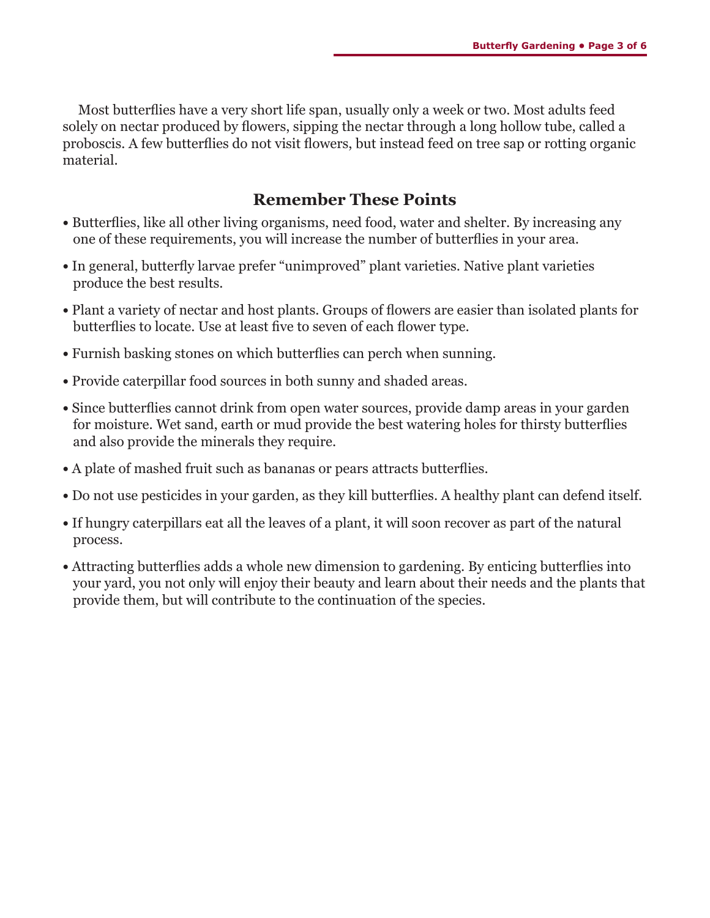Most butterflies have a very short life span, usually only a week or two. Most adults feed solely on nectar produced by flowers, sipping the nectar through a long hollow tube, called a proboscis. A few butterflies do not visit flowers, but instead feed on tree sap or rotting organic material.

## **Remember These Points**

- Butterflies, like all other living organisms, need food, water and shelter. By increasing any one of these requirements, you will increase the number of butterflies in your area.
- In general, butterfly larvae prefer "unimproved" plant varieties. Native plant varieties produce the best results.
- **•** Plant a variety of nectar and host plants. Groups of flowers are easier than isolated plants for butterflies to locate. Use at least five to seven of each flower type.
- **•** Furnish basking stones on which butterflies can perch when sunning.
- **•** Provide caterpillar food sources in both sunny and shaded areas.
- Since butterflies cannot drink from open water sources, provide damp areas in your garden for moisture. Wet sand, earth or mud provide the best watering holes for thirsty butterflies and also provide the minerals they require.
- **•** A plate of mashed fruit such as bananas or pears attracts butterflies.
- **•** Do not use pesticides in your garden, as they kill butterflies. A healthy plant can defend itself.
- **•** If hungry caterpillars eat all the leaves of a plant, it will soon recover as part of the natural process.
- **•** Attracting butterflies adds a whole new dimension to gardening. By enticing butterflies into your yard, you not only will enjoy their beauty and learn about their needs and the plants that provide them, but will contribute to the continuation of the species.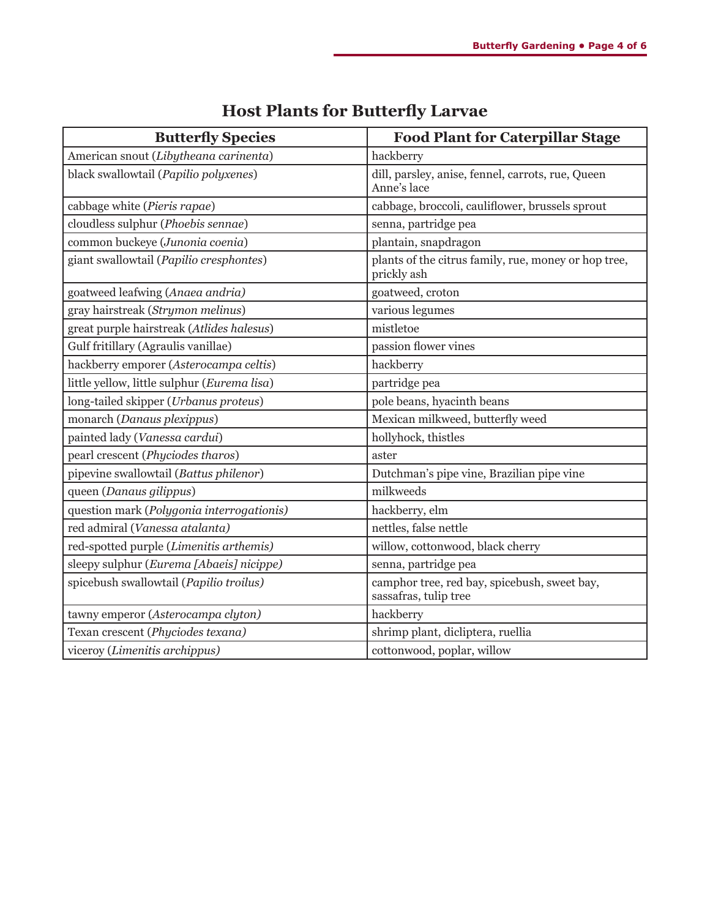| <b>Butterfly Species</b>                    | <b>Food Plant for Caterpillar Stage</b>                               |  |
|---------------------------------------------|-----------------------------------------------------------------------|--|
| American snout (Libytheana carinenta)       | hackberry                                                             |  |
| black swallowtail (Papilio polyxenes)       | dill, parsley, anise, fennel, carrots, rue, Queen<br>Anne's lace      |  |
| cabbage white (Pieris rapae)                | cabbage, broccoli, cauliflower, brussels sprout                       |  |
| cloudless sulphur (Phoebis sennae)          | senna, partridge pea                                                  |  |
| common buckeye (Junonia coenia)             | plantain, snapdragon                                                  |  |
| giant swallowtail (Papilio cresphontes)     | plants of the citrus family, rue, money or hop tree,<br>prickly ash   |  |
| goatweed leafwing (Anaea andria)            | goatweed, croton                                                      |  |
| gray hairstreak (Strymon melinus)           | various legumes                                                       |  |
| great purple hairstreak (Atlides halesus)   | mistletoe                                                             |  |
| Gulf fritillary (Agraulis vanillae)         | passion flower vines                                                  |  |
| hackberry emporer (Asterocampa celtis)      | hackberry                                                             |  |
| little yellow, little sulphur (Eurema lisa) | partridge pea                                                         |  |
| long-tailed skipper (Urbanus proteus)       | pole beans, hyacinth beans                                            |  |
| monarch (Danaus plexippus)                  | Mexican milkweed, butterfly weed                                      |  |
| painted lady (Vanessa cardui)               | hollyhock, thistles                                                   |  |
| pearl crescent (Phyciodes tharos)           | aster                                                                 |  |
| pipevine swallowtail (Battus philenor)      | Dutchman's pipe vine, Brazilian pipe vine                             |  |
| queen (Danaus gilippus)                     | milkweeds                                                             |  |
| question mark (Polygonia interrogationis)   | hackberry, elm                                                        |  |
| red admiral (Vanessa atalanta)              | nettles, false nettle                                                 |  |
| red-spotted purple (Limenitis arthemis)     | willow, cottonwood, black cherry                                      |  |
| sleepy sulphur (Eurema [Abaeis] nicippe)    | senna, partridge pea                                                  |  |
| spicebush swallowtail (Papilio troilus)     | camphor tree, red bay, spicebush, sweet bay,<br>sassafras, tulip tree |  |
| tawny emperor (Asterocampa clyton)          | hackberry                                                             |  |
| Texan crescent (Phyciodes texana)           | shrimp plant, dicliptera, ruellia                                     |  |
| viceroy (Limenitis archippus)               | cottonwood, poplar, willow                                            |  |

# **Host Plants for Butterfly Larvae**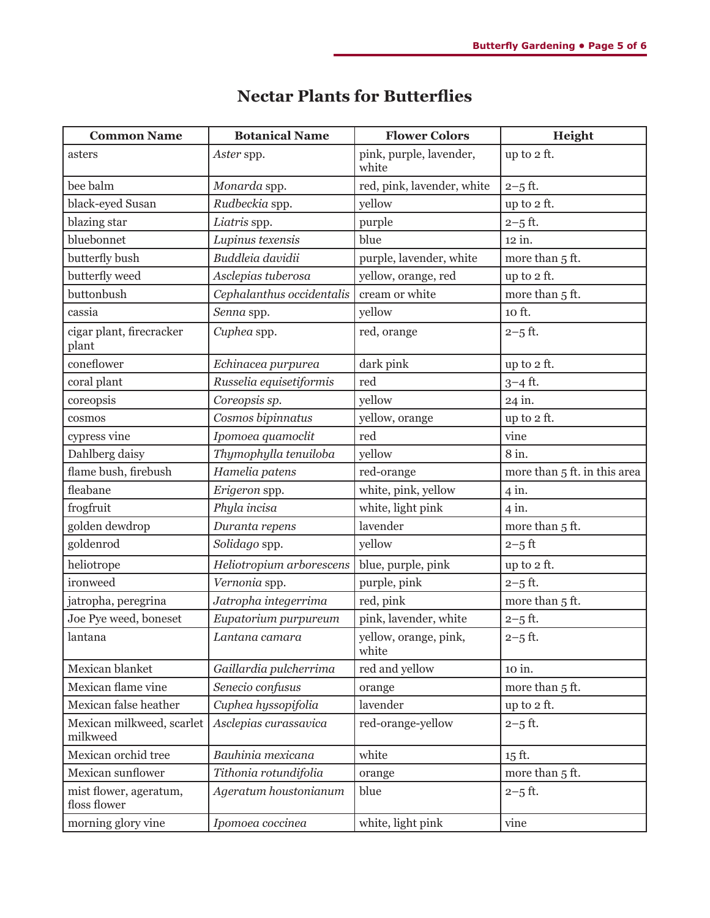| <b>Common Name</b>                     | <b>Botanical Name</b>     | <b>Flower Colors</b>           | Height                       |
|----------------------------------------|---------------------------|--------------------------------|------------------------------|
| asters                                 | Aster spp.                | pink, purple, lavender,        | up to 2 ft.                  |
|                                        |                           | white                          |                              |
| bee balm                               | Monarda spp.              | red, pink, lavender, white     | $2 - 5$ ft.                  |
| black-eyed Susan                       | Rudbeckia spp.            | yellow                         | up to 2 ft.                  |
| blazing star                           | Liatris spp.              | purple                         | $2 - 5$ ft.                  |
| bluebonnet                             | Lupinus texensis          | blue                           | $12$ in.                     |
| butterfly bush                         | Buddleia davidii          | purple, lavender, white        | more than 5 ft.              |
| butterfly weed                         | Asclepias tuberosa        | yellow, orange, red            | up to 2 ft.                  |
| buttonbush                             | Cephalanthus occidentalis | cream or white                 | more than 5 ft.              |
| cassia                                 | Senna spp.                | yellow                         | 10 ft.                       |
| cigar plant, firecracker<br>plant      | Cuphea spp.               | red, orange                    | $2 - 5$ ft.                  |
| coneflower                             | Echinacea purpurea        | dark pink                      | up to 2 ft.                  |
| coral plant                            | Russelia equisetiformis   | red                            | 3-4 ft.                      |
| coreopsis                              | Coreopsis sp.             | yellow                         | 24 in.                       |
| cosmos                                 | Cosmos bipinnatus         | yellow, orange                 | up to 2 ft.                  |
| cypress vine                           | Ipomoea quamoclit         | red                            | vine                         |
| Dahlberg daisy                         | Thymophylla tenuiloba     | yellow                         | 8 in.                        |
| flame bush, firebush                   | Hamelia patens            | red-orange                     | more than 5 ft. in this area |
| fleabane                               | Erigeron spp.             | white, pink, yellow            | $4$ in.                      |
| frogfruit                              | Phyla incisa              | white, light pink              | $4$ in.                      |
| golden dewdrop                         | Duranta repens            | lavender                       | more than 5 ft.              |
| goldenrod                              | Solidago spp.             | yellow                         | $2 - 5$ ft                   |
| heliotrope                             | Heliotropium arborescens  | blue, purple, pink             | up to 2 ft.                  |
| ironweed                               | Vernonia spp.             | purple, pink                   | $2 - 5$ ft.                  |
| jatropha, peregrina                    | Jatropha integerrima      | red, pink                      | more than 5 ft.              |
| Joe Pye weed, boneset                  | Eupatorium purpureum      | pink, lavender, white          | $2 - 5$ ft.                  |
| lantana                                | Lantana camara            | yellow, orange, pink,<br>white | $2 - 5$ ft.                  |
| Mexican blanket                        | Gaillardia pulcherrima    | red and yellow                 | 10 in.                       |
| Mexican flame vine                     | Senecio confusus          | orange                         | more than 5 ft.              |
| Mexican false heather                  | Cuphea hyssopifolia       | lavender                       | up to 2 ft.                  |
| Mexican milkweed, scarlet<br>milkweed  | Asclepias curassavica     | red-orange-yellow              | $2 - 5$ ft.                  |
| Mexican orchid tree                    | Bauhinia mexicana         | white                          | 15 ft.                       |
| Mexican sunflower                      | Tithonia rotundifolia     | orange                         | more than 5 ft.              |
| mist flower, ageratum,<br>floss flower | Ageratum houstonianum     | blue                           | $2 - 5$ ft.                  |
| morning glory vine                     | Ipomoea coccinea          | white, light pink              | vine                         |

## **Nectar Plants for Butterflies**